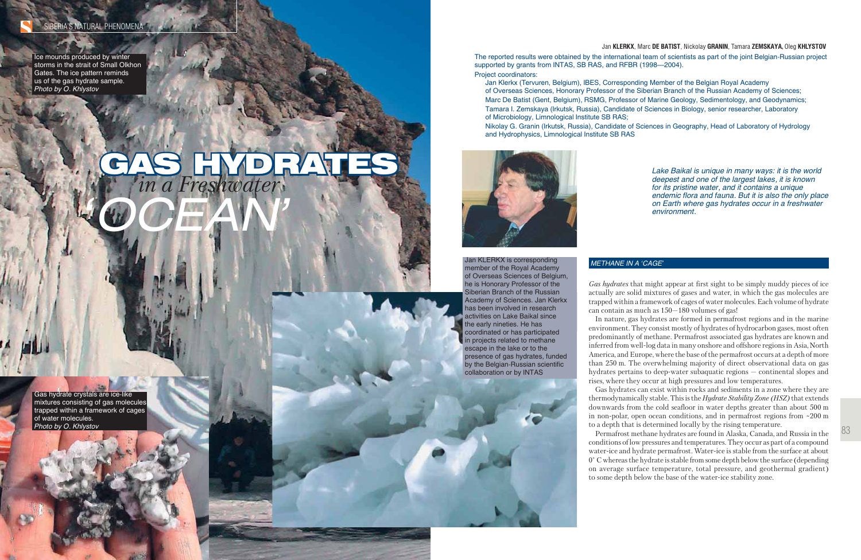83

Jan **KLERKX**, Marc **DE BATIST**, Nickolay **GRANIN**, Tamara **ZEMSKAYA,** Oleg **KHLYSTOV**

*Lake Baikal is unique in many ways: it is the world deepest and one of the largest lakes, it is known for its pristine water, and it contains a unique endemic flora and fauna. But it is also the only place on Earth where gas hydrates occur in a freshwater* 

*environment.*

#### *METHANE IN A 'CAGE'*

*Gas hydrates* that might appear at first sight to be simply muddy pieces of ice actually are solid mixtures of gases and water, in which the gas molecules are trapped within a framework of cages of water molecules. Each volume of hydrate can contain as much as 150—180 volumes of gas!

In nature, gas hydrates are formed in permafrost regions and in the marine environment. They consist mostly of hydrates of hydrocarbon gases, most often predominantly of methane. Permafrost associated gas hydrates are known and inferred from well-log data in many onshore and offshore regions in Asia, North America, and Europe, where the base of the permafrost occurs at a depth of more than 250 m. The overwhelming majority of direct observational data on gas hydrates pertains to deep-water subaquatic regions — continental slopes and rises, where they occur at high pressures and low temperatures.

Gas hydrates can exist within rocks and sediments in a zone where they are thermodynamically stable. This is the *Hydrate Stability Zone (HSZ)* that extends downwards from the cold seafloor in water depths greater than about 500 m in non-polar, open ocean conditions, and in permafrost regions from ~200 m to a depth that is determined locally by the rising temperature.

Permafrost methane hydrates are found in Alaska, Canada, and Russia in the conditions of low pressures and temperatures. They occur as part of a compound water-ice and hydrate permafrost. Water-ice is stable from the surface at about 0° C whereas the hydrate is stable from some depth below the surface (depending on average surface temperature, total pressure, and geothermal gradient) to some depth below the base of the water-ice stability zone.

Gas hydrate crystals are ice-like mixtures consisting of gas molecules trapped within a framework of cages of water molecules. *Photo by O. Khlystov*

Ice mounds produced by winter storms in the strait of Small Olkhon Gates. The ice pattern reminds us of the gas hydrate sample. *Photo by O. Khlystov*

# *in a Freshwater* GAS HYDRATES *in a Freshwater*

Jan KLERKX is corresponding member of the Royal Academy of Overseas Sciences of Belgium, he is Honorary Professor of the Siberian Branch of the Russian Academy of Sciences. Jan Klerkx has been involved in research activities on Lake Baikal since the early nineties. He has coordinated or has participated in projects related to methane escape in the lake or to the presence of gas hydrates, funded by the Belgian-Russian scientific collaboration or by INTAS

The reported results were obtained by the international team of scientists as part of the joint Belgian-Russian project supported by grants from INTAS, SB RAS, and RFBR (1998-2004). Project coordinators:

 Jan Klerkx (Tervuren, Belgium), IBES, Corresponding Member of the Belgian Royal Academy of Overseas Sciences, Honorary Professor of the Siberian Branch of the Russian Academy of Sciences; Marc De Batist (Gent, Belgium), RSMG, Professor of Marine Geology, Sedimentology, and Geodynamics; Tamara I. Zemskaya (Irkutsk, Russia), Candidate of Sciences in Biology, senior researcher, Laboratory of Microbiology, Limnological Institute SB RAS;

 Nikolay G. Granin (Irkutsk, Russia), Candidate of Sciences in Geography, Head of Laboratory of Hydrology and Hydrophysics, Limnological Institute SB RAS



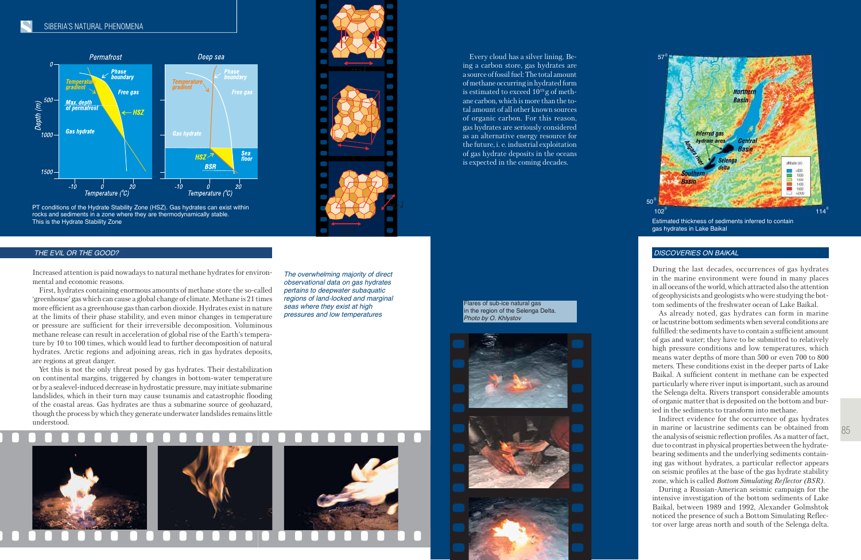PT conditions of the Hydrate Stability Zone (HSZ). Gas hydrates can exist within rocks and sediments in a zone where they are thermodynamically stable. This is the Hydrate Stability Zone **Estimated thickness of sediments inferred to contain** 

*The overwhelming majority of direct observational data on gas hydrates pertains to deepwater subaquatic regions of land-locked and marginal seas where they exist at high pressures and low temperatures*

### *THE EVIL OR THE GOOD?*

Increased attention is paid nowadays to natural methane hydrates for environmental and economic reasons.

First, hydrates containing enormous amounts of methane store the so-called 'greenhouse' gas which can cause a global change of climate. Methane is 21 times more efficient as a greenhouse gas than carbon dioxide. Hydrates exist in nature at the limits of their phase stability, and even minor changes in temperature or pressure are sufficient for their irreversible decomposition. Voluminous methane release can result in acceleration of global rise of the Earth's temperature by 10 to 100 times, which would lead to further decomposition of natural hydrates. Arctic regions and adjoining areas, rich in gas hydrates deposits, are regions at great danger.

Yet this is not the only threat posed by gas hydrates. Their destabilization on continental margins, triggered by changes in bottom-water temperature or by a sealevel-induced decrease in hydrostatic pressure, may initiate submarine landslides, which in their turn may cause tsunamis and catastrophic flooding of the coastal areas. Gas hydrates are thus a submarine source of geohazard, though the process by which they generate underwater landslides remains little understood.







Every cloud has a silver lining. Being a carbon store, gas hydrates are a source of fossil fuel: The total amount of methane occurring in hydrated form is estimated to exceed 1019 g of methane carbon, which is more than the total amount of all other known sources of organic carbon. For this reason, gas hydrates are seriously considered as an alternative energy resource for the future, i. e. industrial exploitation of gas hydrate deposits in the oceans is expected in the coming decades.



gas hydrates in Lake Baikal

#### *DISCOVERIES ON BAIKAL*

During the last decades, occurrences of gas hydrates in the marine environment were found in many places in all oceans of the world, which attracted also the attention of geophysicists and geologists who were studying the bottom sediments of the freshwater ocean of Lake Baikal.

As already noted, gas hydrates can form in marine or lacustrine bottom sediments when several conditions are fulfilled: the sediments have to contain a sufficient amount of gas and water; they have to be submitted to relatively high pressure conditions and low temperatures, which means water depths of more than 500 or even 700 to 800 meters. These conditions exist in the deeper parts of Lake Baikal. A sufficient content in methane can be expected particularly where river input is important, such as around the Selenga delta. Rivers transport considerable amounts of organic matter that is deposited on the bottom and buried in the sediments to transform into methane.

Indirect evidence for the occurrence of gas hydrates in marine or lacustrine sediments can be obtained from the analysis of seismic reflection profiles. As a matter of fact, due to contrast in physical properties between the hydratebearing sediments and the underlying sediments containing gas without hydrates, a particular reflector appears on seismic profiles at the base of the gas hydrate stability zone, which is called *Bottom Simulating Reflector (BSR)*.

During a Russian-American seismic campaign for the intensive investigation of the bottom sediments of Lake Baikal, between 1989 and 1992, Alexander Golmshtok noticed the presence of such a Bottom Simulating Reflector over large areas north and south of the Selenga delta.

Flares of sub-ice natural gas in the region of the Selenga Delta. *Photo by O. Khlystov*





 $57^{\circ}$ 

### SIBERIA'S NATURAL PHENOMENA

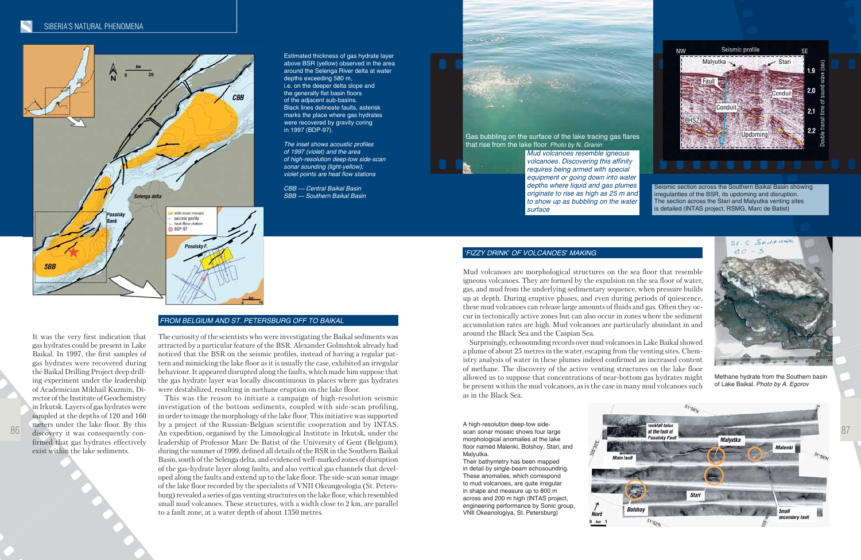Estimated thickness of gas hydrate layer above BSR (yellow) observed in the area around the Selenga River delta at water depths exceeding 580 m, i.e. on the deeper delta slope and the generally flat basin floors of the adjacent sub-basins. Black lines delineate faults, asterisk marks the place where gas hydrates were recovered by gravity coring in 1997 (BDP-97).

*The inset shows acoustic profiles of 1997 (violet) and the area of high-resolution deep-tow side-scan sonar sounding (light-yellow); violet points are heat flow stations*

*CBB — Central Baikal Basin SBB — Southern Baikal Basin*



A high-resolution deep-tow sidescan sonar mosaic shows four large morphological anomalies at the lake floor named Malenki, Bolshoy, Stari, and Malyutka.

Their bathymetry has been mapped in detail by single-beam echosounding. These anomalies, which correspond to mud volcanoes, are quite irregular in shape and measure up to 800 m across and 200 m high (INTAS project, engineering performance by Sonic group, VNII Okeanologiya, St. Petersburg)

#### *FROM BELGIUM AND ST. PETERSBURG OFF TO BAIKAL*

The curiosity of the scientists who were investigating the Baikal sediments was attracted by a particular feature of the BSR. Alexander Golmshtok already had noticed that the BSR on the seismic profiles, instead of having a regular pattern and mimicking the lake floor as it is usually the case, exhibited an irregular behaviour. It appeared disrupted along the faults, which made him suppose that the gas hydrate layer was locally discontinuous in places where gas hydrates were destabilized, resulting in methane eruption on the lake floor.

This was the reason to initiate a campaign of high-resolution seismic investigation of the bottom sediments, coupled with side-scan profiling, in order to image the morphology of the lake floor. This initiative was supported by a project of the Russian-Belgian scientific cooperation and by INTAS. leadership of Professor Marc De Batist of the University of Gent (Belgium), during the summer of 1999, defined all details of the BSR in the Southern Baikal Basin, south of the Selenga delta, and evidenced well-marked zones of disruption of the gas-hydrate layer along faults, and also vertical gas channels that developed along the faults and extend up to the lake floor. The side-scan sonar image of the lake floor recorded by the specialists of VNII Okeangeologia (St. Petersburg) revealed a series of gas venting structures on the lake floor, which resembled small mud volcanoes. These structures, with a width close to 2 km, are parallel to a fault zone, at a water depth of about 1350 metres.



### *'FIZZY DRINK' OF VOLCANOES' MAKING*

Mud volcanoes are morphological structures on the sea floor that resemble igneous volcanoes. They are formed by the expulsion on the sea floor of water, gas, and mud from the underlying sedimentary sequence, when pressure builds up at depth. During eruptive phases, and even during periods of quiescence, these mud volcanoes can release large amounts of fluids and gas. Often they occur in tectonically active zones but can also occur in zones where the sediment accumulation rates are high. Mud volcanoes are particularly abundant in and around the Black Sea and the Caspian Sea.



Surprisingly, echosounding records over mud volcanoes in Lake Baikal showed a plume of about 25 metres in the water, escaping from the venting sites. Chemistry analysis of water in these plumes indeed confirmed an increased content of methane. The discovery of the active venting structures on the lake floor allowed us to suppose that concentrations of near-bottom gas hydrates might be present within the mud volcanoes, as is the case in many mud volcanoes such as in the Black Sea.



Methane hydrate from the Southern basin of Lake Baikal. *Photo by A. Egorov*

Gas bubbling on the surface of the lake tracing gas flares that rise from the lake floor*. Photo by N. Granin*



**Contact Contact** 

*Mud volcanoes resemble igneous volcanoes. Discovering this affinity requires being armed with special equipment or going down into water depths where liquid and gas plumes originate to rise as high as 25 m and to show up as bubbling on the water surface*

Seismic section across the Southern Baikal Basin showing irregularities of the BSR, its updoming and disruption. The section across the Stari and Malyutka venting sites is detailed (INTAS project, RSMG, Marc de Batist)



It was the very first indication that

gas hydrates could be present in Lake Baikal. In 1997, the first samples of gas hydrates were recovered during the Baikal Drilling Project deep drilling experiment under the leadership of Academician Mikhail Kuzmin, Director of the Institute of Geochemistry in Irkutsk. Layers of gas hydrates were sampled at the depths of 120 and 160 meters under the lake floor. By this discovery it was consequently confirmed that gas hydrates effectively exist within the lake sediments.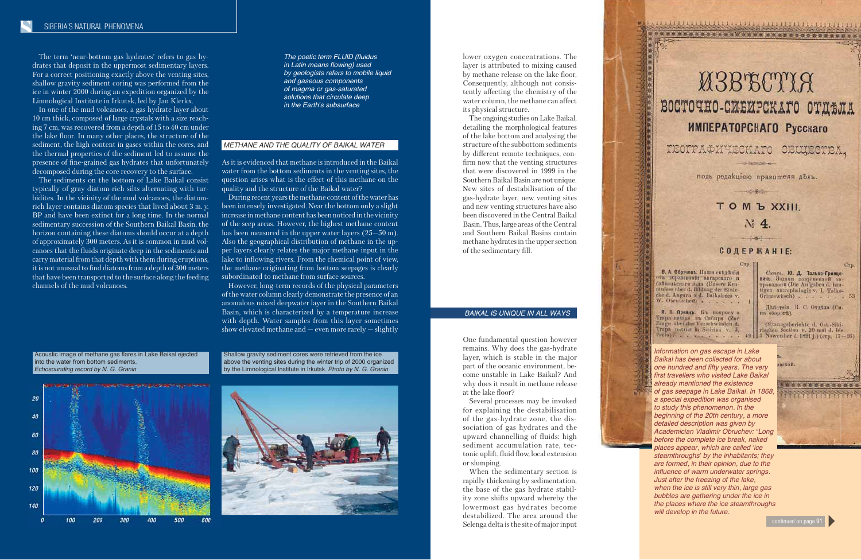*The poetic term FLUID (fluidus in Latin means flowing) used by geologists refers to mobile liquid and gaseous components of magma or gas-saturated solutions that circulate deep in the Earth's subsurface*

The term 'near-bottom gas hydrates' refers to gas hydrates that deposit in the uppermost sedimentary layers. For a correct positioning exactly above the venting sites, shallow gravity sediment coring was performed from the ice in winter 2000 during an expedition organized by the Limnological Institute in Irkutsk, led by Jan Klerkx.

In one of the mud volcanoes, a gas hydrate layer about 10 cm thick, composed of large crystals with a size reaching 7 cm, was recovered from a depth of 15 to 40 cm under the lake floor. In many other places, the structure of the sediment, the high content in gases within the cores, and the thermal properties of the sediment led to assume the presence of fine-grained gas hydrates that unfortunately decomposed during the core recovery to the surface.

> However, long-term records of the physical parameters of the water column clearly demonstrate the presence of an anomalous mixed deepwater layer in the Southern Baikal Basin, which is characterized by a temperature increase with depth. Water samples from this layer sometimes show elevated methane and  $-$  even more rarely  $-$  slightly

The sediments on the bottom of Lake Baikal consist typically of gray diatom-rich silts alternating with turbidites. In the vicinity of the mud volcanoes, the diatomrich layer contains diatom species that lived about 3 m. y. BP and have been extinct for a long time. In the normal sedimentary succession of the Southern Baikal Basin, the horizon containing these diatoms should occur at a depth of approximately 300 meters. As it is common in mud volcanoes that the fluids originate deep in the sediments and carry material from that depth with them during eruptions, it is not unusual to find diatoms from a depth of 300 meters that have been transported to the surface along the feeding channels of the mud volcanoes.

#### *METHANE AND THE QUALITY OF BAIKAL WATER*

As it is evidenced that methane is introduced in the Baikal water from the bottom sediments in the venting sites, the question arises what is the effect of this methane on the quality and the structure of the Baikal water?



During recent years the methane content of the water has been intensely investigated. Near the bottom only a slight increase in methane content has been noticed in the vicinity of the seep areas. However, the highest methane content has been measured in the upper water layers (25–50 m). Also the geographical distribution of methane in the upper layers clearly relates the major methane input in the lake to inflowing rivers. From the chemical point of view, the methane originating from bottom seepages is clearly subordinated to methane from surface sources.

lower oxygen concentrations. The layer is attributed to mixing caused by methane release on the lake floor. Consequently, although not consistently affecting the chemistry of the water column, the methane can affect its physical structure.

The ongoing studies on Lake Baikal, detailing the morphological features of the lake bottom and analysing the structure of the subbottom sediments by different remote techniques, confirm now that the venting structures that were discovered in 1999 in the Southern Baikal Basin are not unique. New sites of destabilisation of the gas-hydrate layer, new venting sites and new venting structures have also been discovered in the Central Baikal Basin. Thus, large areas of the Central and Southern Baikal Basins contain methane hydrates in the upper section of the sedimentary fill.

Acoustic image of methane gas flares in Lake Baikal ejected into the water from bottom sediments. *Echosounding record by N. G. Granin*

*Information on gas escape in Lake Baikal has been collected for about one hundred and fifty years. The very first travellers who visited Lake Baikal already mentioned the existence of gas seepage in Lake Baikal. In 1868, a special expedition was organised to study this phenomenon. In the beginning of the 20th century, a more detailed description was given by before the complete ice break, naked places appear, which are called 'ice steamthroughs' by the inhabitants; they are formed, in their opinion, due to the influence of warm underwater springs. Just after the freezing of the lake, when the ice is still very thin, large gas bubbles are gathering under the ice in the places where the ice steamthroughs will develop in the future.* 



continued on page 91

Shallow gravity sediment cores were retrieved from the ice above the venting sites during the winter trip of 2000 organized by the Limnological Institute in Irkutsk. *Photo by N. G. Granin*



#### *BAIKAL IS UNIQUE IN ALL WAYS*

One fundamental question however remains. Why does the gas-hydrate layer, which is stable in the major part of the oceanic environment, become unstable in Lake Baikal? And why does it result in methane release at the lake floor?

Several processes may be invoked for explaining the destabilisation of the gas-hydrate zone, the dissociation of gas hydrates and the upward channelling of fluids: high sediment accumulation rate, tectonic uplift, fluid flow, local extension or slumping.

When the sedimentary section is rapidly thickening by sedimentation, the base of the gas hydrate stability zone shifts upward whereby the lowermost gas hydrates become destabilized. The area around the Selenga delta is the site of major input

 $Pre(a)$   $\longrightarrow$   $\longrightarrow$   $\longrightarrow$   $\longrightarrow$   $\longrightarrow$ 

## **UBBECTIA** ВОСТОЧНО-СИБИРСКАГО ОТДЕЛА *MMПЕРАТОРСКАГО Русскаго*

\*\*\*\*\*\*\*\*\*\*\*\*\*\*\*\*\*\*\*\*\*\*\*\*\*\*\*\*\*\*\*\*\*\*

TEOTPAФHUECKATO

**SERVICIAL CAR** подъ редакціею правителя дель. **COMPOSITION** 

### TOM **b** XXIII.

 $\mathcal{N}$  4. milled in

**COAEPHAHIE:** 

Crp. 1

49

В. А. Обручевъ. Наши силдения бъ образовании вигарского и Зайкальскаго льда (Unsere Kenntnisse uber d. Bildnug der Einde-<br>cke d. Angara u d. Baikalsees v.<br>W. Obrutscheff)

Я. П. Прейнъ Къ попросу о Trapa natans un Cabupu (Zar<br>Frage aber das Verschwinden d. Trapa patans in Sibirien v. J.

Смись. Ю. Д. Талько-Гринцевињ. Задачи современной анtigen antrophologie v. I. Talko-<br>Grinzewitsch) . 53

Crp.

Действія В. С. Отдела (См. а оборотъ).

(Sitzungsberichte d. Ost.-Sibischen Section v. 20 mai d. bis Nowember d. 1891 j.) (crp. 17-86)